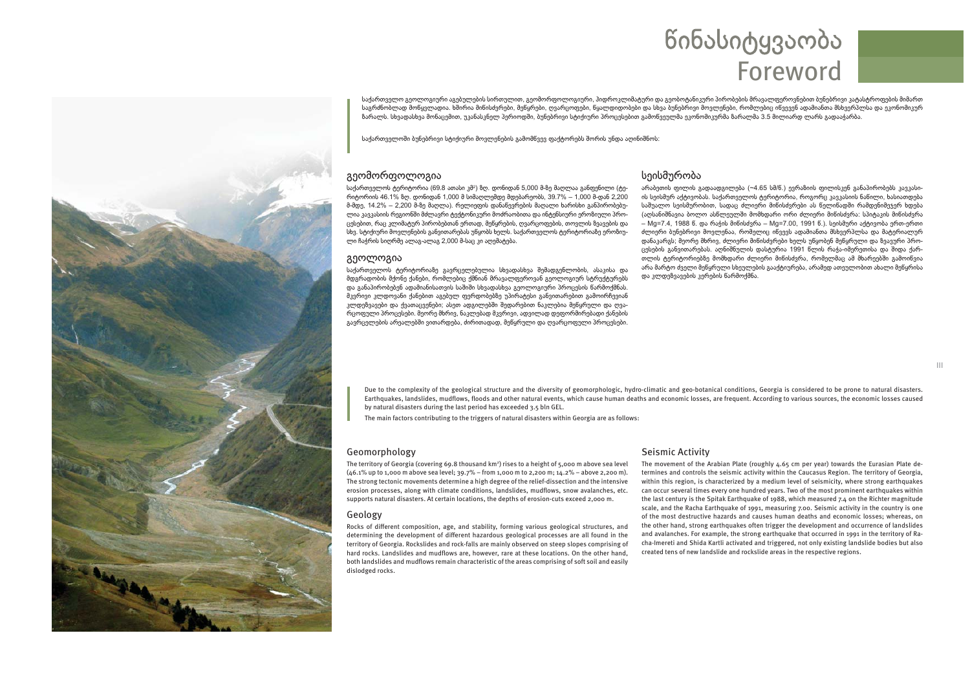# წინასიტყვაობა Foreword

საქართველო გეოლოგიური აგებულების სირთულით, გეომორფოლოგიური, ჰიდროვლიმატური და გეობოტანიკური პირობების მრავალფეროვნებით ბუნებრივი კატასტროფების მიმართ საგრძნობლად მოწყვლადია. ხშირია მიწისძვრები, მეწყრები, ღვარცოფები, წყალდიდობები და სხვა ბუნებრივი მოვლენები, რომლებიც იწვევენ ადამიანთა მსხვერპლსა და ეკონომიკურ ზარალს. სხვადასხვა მონაცემით, უკანასკნელ პერიოდში, ბუნებრივი სტიქიური პროცესებით გამოწვეულმა ეკონომიკურმა ზარალმა 3.5 მილიარდ ლარს გადააჭარბა.

საქართველოში ბუნებრივი სტიქიური მოვლენების გამომწვევ თაქტორებს შორის უნდა აღინიშნოს:

### გეომორფოლოგია

საქართველოს ტერიტორია (69.8 ათასი კმ<sup>2</sup>) ზღ. დონიდან 5,000 მ-ზე მაღლაა განფენილი (ტერიტორიის 46.1% ზღ. დონიდან 1,000 მ სიმაღლემდე მდებარეობს, 39.7% – 1,000 მ-დან 2,200 მ-მდე, 14.2% – 2,200 მ-ზე მაღლა). რელიეფის დანაწევრების მაღალი ხარისხი განპირობებულია კავკასიის რეგიონში მძლავრი ტექტონიკური მოძრაობითა და ინტენსიური ერომიული პროცესებით, რაც კლიმატურ პირობებთან ერთად, მეწყრების, ღვარცოფების, თოვლის ზვავების და სხვ. სტიქიური მოვლენების განვითარებას უწყობს ხელს. საქართველოს ტერიტორიაზე ეროზიული ჩაჭრის სიღრმე ალაგ-ალაგ 2,000 მ-საც კი აღემატება.

#### გეოლოგია

საქართველოს ტერიტორიაზე გავრცელებულია სხვადასხვა შემადგენლობის, ასაკისა და მდგრადობის მქონე ქანები, რომლებიც ქმნიან მრავალფეროვან გეოლოგიურ სტრუქტურებს და განაპირობებენ ადამიანისათვის საშიში სხვადასხვა გეოლოგიური პროცესის წარმოქმნას. მკვრივი კლდოვანი ქანებით აგებულ ფერდობებზე უპირატესი განვითარებით გამოირჩევიან კლდეზვავები და ქვათაცვენები; ასეთ ადგილებში შედარებით ნაკლებია მეწყრული და ღვარცოფული პროცესები. მეორე მხრივ, ნაკლებად მკვრივი, ადვილად დეფორმირებადი ქანების გავრცელების არეალებში ვითარდება, ძირითადად, მეწყრული და ღვარცოფული პროცესები.

## სეისმურობა

არაბეთის ფილის გადაადგილება (~4.65 სმ/წ.) ევრაზიის ფილისკენ განაპირობებს კავკასიის სეისმურ აქტივობას. საქართველოს ტერიტორია, როგორც კავკასიის ნაწილი, ხასიათდება საშუალო სეისმურობით, სადაც ძლიერი მიწისძვრები ას წელიწადში რამდენიმეჯერ ხდება (აღსანიშნავია ბოლო ასწლეულში მომხდარი ორი ძლიერი მინისძვრა: სპიტაკის მინისძვრა – Mg=7.4, 1988 წ. და რაჭის მიწისძვრა – Mg=7.00, 1991 წ.), სეისმური აქტივობა ერთ-ერთი ძლიერი ბუნებრივი მოვლენაა, რომელიც იწვევს ადამიანთა მსხვერპლსა და მატერიალურ დანაკარგს; მეორე მხრივ, ძლიერი მიწისძვრები ხელს უწყობენ მეწყრული და ზვავური პროცესების განვითარებას. აღნიშნულის დასტურია 1991 წლის რაჭა-იმერეთისა და შიდა ქართლის ტერიტორიებზე მომხდარი ძლიერი მიწისძვრა, რომელმაც ამ მხარეებში გამოიწვია არა მარტო ძველი მეწყრული სხეულების გააქტიურება, არამედ ათეულობით ახალი მეწყრისა და კლდეზვავების კერების წარმოქმნა.

Due to the complexity of the geological structure and the diversity of geomorphologic, hydro-climatic and geo-botanical conditions, Georgia is considered to be prone to natural disasters. Earthquakes, landslides, mudflows, floods and other natural events, which cause human deaths and economic losses, are frequent. According to various sources, the economic losses caused by natural disasters during the last period has exceeded 3.5 bln GEL.

The main factors contributing to the triggers of natural disasters within Georgia are as follows:

#### Geomorphology

The territory of Georgia (covering 69.8 thousand km<sup>2</sup>) rises to a height of 5,000 m above sea level (46.1% up to 1,000 m above sea level; 39.7% – from 1,000 m to 2,200 m; 14.2% – above 2,200 m). The strong tectonic movements determine a high degree of the relief-dissection and the intensive erosion processes, along with climate conditions, landslides, mudflows, snow avalanches, etc. supports natural disasters. At certain locations, the depths of erosion-cuts exceed 2,000 m.

#### Geology

Rocks of different composition, age, and stability, forming various geological structures, and determining the development of different hazardous geological processes are all found in the territory of Georgia. Rockslides and rock-falls are mainly observed on steep slopes comprising of hard rocks. Landslides and mudflows are, however, rare at these locations. On the other hand, both landslides and mudflows remain characteristic of the areas comprising of soft soil and easily dislodged rocks.

#### Seismic Activity

The movement of the Arabian Plate (roughly 4.65 cm per year) towards the Eurasian Plate determines and controls the seismic activity within the Caucasus Region. The territory of Georgia, within this region, is characterized by a medium level of seismicity, where strong earthquakes can occur several times every one hundred years. Two of the most prominent earthquakes within the last century is the Spitak Earthquake of 1988, which measured 7.4 on the Richter magnitude scale, and the Racha Earthquake of 1991, measuring 7.00. Seismic activity in the country is one of the most destructive hazards and causes human deaths and economic losses; whereas, on the other hand, strong earthquakes often trigger the development and occurrence of landslides and avalanches. For example, the strong earthquake that occurred in 1991 in the territory of Racha-Imereti and Shida Kartli activated and triggered, not only existing landslide bodies but also created tens of new landslide and rockslide areas in the respective regions.